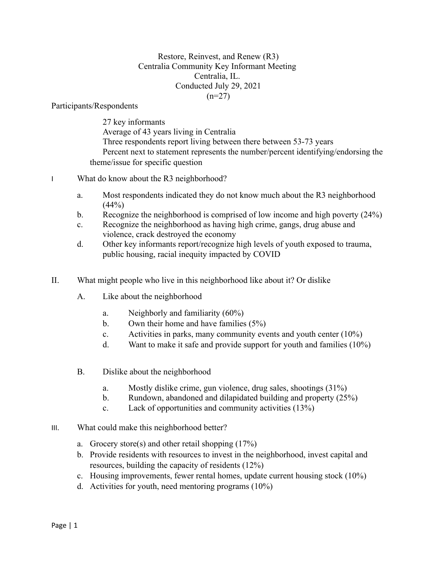Restore, Reinvest, and Renew (R3) Centralia Community Key Informant Meeting Centralia, IL. Conducted July 29, 2021  $(n=27)$ 

Participants/Respondents

27 key informants Average of 43 years living in Centralia Three respondents report living between there between 53-73 years Percent next to statement represents the number/percent identifying/endorsing the theme/issue for specific question

- I What do know about the R3 neighborhood?
	- a. Most respondents indicated they do not know much about the R3 neighborhood  $(44%)$
	- b. Recognize the neighborhood is comprised of low income and high poverty (24%)
	- c. Recognize the neighborhood as having high crime, gangs, drug abuse and violence, crack destroyed the economy
	- d. Other key informants report/recognize high levels of youth exposed to trauma, public housing, racial inequity impacted by COVID
- II. What might people who live in this neighborhood like about it? Or dislike
	- A. Like about the neighborhood
		- a. Neighborly and familiarity (60%)
		- b. Own their home and have families (5%)
		- c. Activities in parks, many community events and youth center  $(10\%)$
		- d. Want to make it safe and provide support for youth and families (10%)
	- B. Dislike about the neighborhood
		- a. Mostly dislike crime, gun violence, drug sales, shootings (31%)
		- b. Rundown, abandoned and dilapidated building and property (25%)
		- c. Lack of opportunities and community activities (13%)
- III. What could make this neighborhood better?
	- a. Grocery store(s) and other retail shopping  $(17%)$
	- b. Provide residents with resources to invest in the neighborhood, invest capital and resources, building the capacity of residents (12%)
	- c. Housing improvements, fewer rental homes, update current housing stock (10%)
	- d. Activities for youth, need mentoring programs (10%)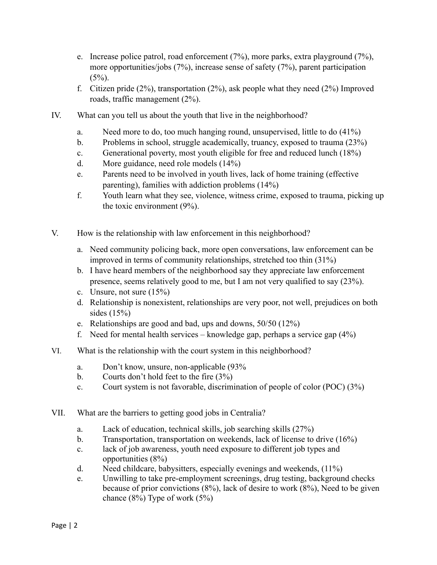- e. Increase police patrol, road enforcement (7%), more parks, extra playground (7%), more opportunities/jobs (7%), increase sense of safety (7%), parent participation  $(5\%)$ .
- f. Citizen pride (2%), transportation (2%), ask people what they need (2%) Improved roads, traffic management (2%).
- IV. What can you tell us about the youth that live in the neighborhood?
	- a. Need more to do, too much hanging round, unsupervised, little to do (41%)
	- b. Problems in school, struggle academically, truancy, exposed to trauma (23%)
	- c. Generational poverty, most youth eligible for free and reduced lunch (18%)
	- d. More guidance, need role models (14%)
	- e. Parents need to be involved in youth lives, lack of home training (effective parenting), families with addiction problems (14%)
	- f. Youth learn what they see, violence, witness crime, exposed to trauma, picking up the toxic environment (9%).
- V. How is the relationship with law enforcement in this neighborhood?
	- a. Need community policing back, more open conversations, law enforcement can be improved in terms of community relationships, stretched too thin (31%)
	- b. I have heard members of the neighborhood say they appreciate law enforcement presence, seems relatively good to me, but I am not very qualified to say (23%).
	- c. Unsure, not sure (15%)
	- d. Relationship is nonexistent, relationships are very poor, not well, prejudices on both sides (15%)
	- e. Relationships are good and bad, ups and downs, 50/50 (12%)
	- f. Need for mental health services knowledge gap, perhaps a service gap  $(4\%)$
- VI. What is the relationship with the court system in this neighborhood?
	- a. Don't know, unsure, non-applicable (93%
	- b. Courts don't hold feet to the fire  $(3\%)$
	- c. Court system is not favorable, discrimination of people of color (POC) (3%)
- VII. What are the barriers to getting good jobs in Centralia?
	- a. Lack of education, technical skills, job searching skills (27%)
	- b. Transportation, transportation on weekends, lack of license to drive (16%)
	- c. lack of job awareness, youth need exposure to different job types and opportunities (8%)
	- d. Need childcare, babysitters, especially evenings and weekends, (11%)
	- e. Unwilling to take pre-employment screenings, drug testing, background checks because of prior convictions (8%), lack of desire to work (8%), Need to be given chance  $(8\%)$  Type of work  $(5\%)$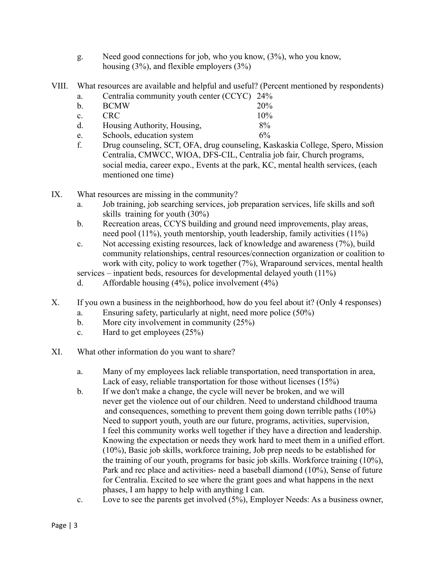- g. Need good connections for job, who you know, (3%), who you know, housing (3%), and flexible employers (3%)
- VIII. What resources are available and helpful and useful? (Percent mentioned by respondents)
	- a. Centralia community youth center (CCYC) 24%

| b.             | <b>BCMW</b>                 | 20%   |
|----------------|-----------------------------|-------|
| $\mathbf{c}$ . | <b>CRC</b>                  | 10%   |
| d.             | Housing Authority, Housing, | $8\%$ |

- e. Schools, education system 6%
- f. Drug counseling, SCT, OFA, drug counseling, Kaskaskia College, Spero, Mission Centralia, CMWCC, WIOA, DFS-CIL, Centralia job fair, Church programs, social media, career expo., Events at the park, KC, mental health services, (each mentioned one time)
- IX. What resources are missing in the community?
	- a. Job training, job searching services, job preparation services, life skills and soft skills training for youth (30%)
	- b. Recreation areas, CCYS building and ground need improvements, play areas, need pool (11%), youth mentorship, youth leadership, family activities (11%)
	- c. Not accessing existing resources, lack of knowledge and awareness (7%), build community relationships, central resources/connection organization or coalition to work with city, policy to work together (7%), Wraparound services, mental health
	- services inpatient beds, resources for developmental delayed youth (11%)
	- d. Affordable housing  $(4\%)$ , police involvement  $(4\%)$
- X. If you own a business in the neighborhood, how do you feel about it? (Only 4 responses)
	- a. Ensuring safety, particularly at night, need more police (50%)
	- b. More city involvement in community (25%)
	- c. Hard to get employees (25%)
- XI. What other information do you want to share?
	- a. Many of my employees lack reliable transportation, need transportation in area, Lack of easy, reliable transportation for those without licenses (15%)
	- b. If we don't make a change, the cycle will never be broken, and we will never get the violence out of our children. Need to understand childhood trauma and consequences, something to prevent them going down terrible paths (10%) Need to support youth, youth are our future, programs, activities, supervision, I feel this community works well together if they have a direction and leadership. Knowing the expectation or needs they work hard to meet them in a unified effort. (10%), Basic job skills, workforce training, Job prep needs to be established for the training of our youth, programs for basic job skills. Workforce training (10%), Park and rec place and activities- need a baseball diamond (10%), Sense of future for Centralia. Excited to see where the grant goes and what happens in the next phases, I am happy to help with anything I can.
	- c. Love to see the parents get involved (5%), Employer Needs: As a business owner,